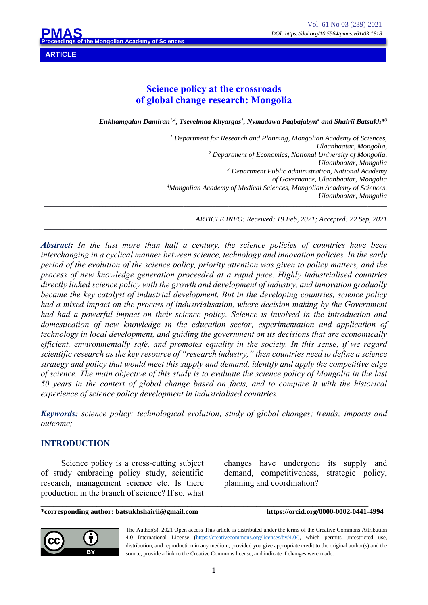**ARTICLE**

# **Science policy at the crossroads of global change research: Mongolia**

 $E$ nkhamgalan Damiran<sup>1,4</sup>, Tsevelmaa Khyargas<sup>2</sup>, Nymadawa Pagbajabyn<sup>4</sup> and Shairii Batsukh\*<sup>3</sup>

*<sup>1</sup> Department for Research and Planning, Mongolian Academy of Sciences, Ulaanbaatar, Mongolia, <sup>2</sup> Department of Economics, National University of Mongolia, Ulaanbaatar, Mongolia 3 Department Public administration, National Academy of Governance, Ulaanbaatar, Mongolia 4 Mongolian Academy of Medical Sciences, Mongolian Academy of Sciences, Ulaanbaatar, Mongolia \_\_\_\_\_\_\_\_\_\_\_\_\_\_\_\_\_\_\_\_\_\_\_\_\_\_\_\_\_\_\_\_\_\_\_\_\_\_\_\_\_\_\_\_\_\_\_\_\_\_\_\_\_\_\_\_\_\_\_\_\_\_\_\_\_\_\_\_\_\_\_\_\_\_\_\_\_\_\_\_\_\_\_\_\_\_\_\_\_\_\_\_\_\_\_\_\_\_\_\_\_\_\_\_\_\_*

*ARTICLE INFO: Received: 19 Feb, 2021; Accepted: 22 Sep, 2021*

*Abstract: In the last more than half a century, the science policies of countries have been interchanging in a cyclical manner between science, technology and innovation policies. In the early period of the evolution of the science policy, priority attention was given to policy matters, and the process of new knowledge generation proceeded at a rapid pace. Highly industrialised countries directly linked science policy with the growth and development of industry, and innovation gradually became the key catalyst of industrial development. But in the developing countries, science policy had a mixed impact on the process of industrialisation, where decision making by the Government had had a powerful impact on their science policy. Science is involved in the introduction and*  domestication of new knowledge in the education sector, experimentation and application of *technology in local development, and guiding the government on its decisions that are economically efficient, environmentally safe, and promotes equality in the society. In this sense, if we regard scientific research as the key resource of "research industry," then countries need to define a science strategy and policy that would meet this supply and demand, identify and apply the competitive edge of science. The main objective of this study is to evaluate the science policy of Mongolia in the last 50 years in the context of global change based on facts, and to compare it with the historical experience of science policy development in industrialised countries.*

*\_\_\_\_\_\_\_\_\_\_\_\_\_\_\_\_\_\_\_\_\_\_\_\_\_\_\_\_\_\_\_\_\_\_\_\_\_\_\_\_\_\_\_\_\_\_\_\_\_\_\_\_\_\_\_\_\_\_\_\_\_\_\_\_\_\_\_\_\_\_\_\_\_\_\_\_\_\_\_\_\_\_\_\_\_\_\_\_\_\_\_\_\_\_\_\_\_\_\_\_\_\_\_\_\_\_*

*Keywords: science policy; technological evolution; study of global changes; trends; impacts and outcome;*

#### **INTRODUCTION**

Science policy is a cross-cutting subject of study embracing policy study, scientific research, management science etc. Is there production in the branch of science? If so, what changes have undergone its supply and demand, competitiveness, strategic policy, planning and coordination?

\_\_\_\_\_\_\_\_\_\_\_\_\_\_\_\_\_\_\_\_\_\_\_\_\_\_\_\_\_\_\_\_\_\_\_\_\_\_\_\_\_\_\_\_\_\_\_\_\_\_\_\_\_\_\_\_\_\_\_\_\_\_\_\_\_\_\_\_\_\_\_\_\_\_\_\_ **\*corresponding author: batsukhshairii@gmail.com https://orcid.org/0000-0002-0441-4994**



The Author(s). 2021 Open access This article is distributed under the terms of the Creative Commons Attribution 4.0 International License (https://creativecommons.org/licenses/by/4.0/), which permits unrestricted use, distribution, and reproduction in any medium, provided you give appropriate credit to the original author(s) and the source, provide a link to the Creative Commons license, and indicate if changes were made.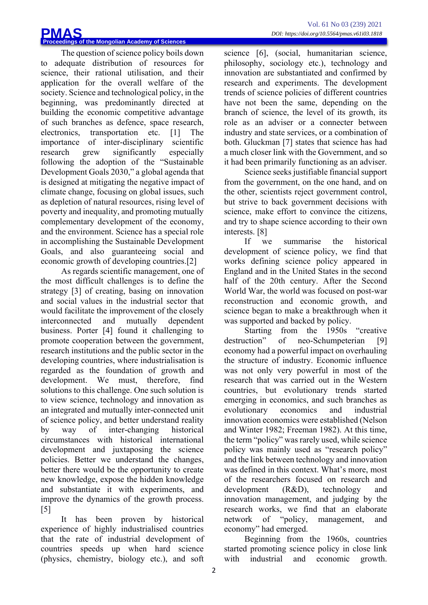The question of science policy boils down to adequate distribution of resources for science, their rational utilisation, and their application for the overall welfare of the society. Science and technological policy, in the beginning, was predominantly directed at building the economic competitive advantage of such branches as defence, space research, electronics, transportation etc. [1] The importance of inter-disciplinary scientific research grew significantly especially following the adoption of the "Sustainable Development Goals 2030," a global agenda that is designed at mitigating the negative impact of climate change, focusing on global issues, such as depletion of natural resources, rising level of poverty and inequality, and promoting mutually complementary development of the economy, and the environment. Science has a special role in accomplishing the Sustainable Development Goals, and also guaranteeing social and economic growth of developing countries.[2]

As regards scientific management, one of the most difficult challenges is to define the strategy [3] of creating, basing on innovation and social values in the industrial sector that would facilitate the improvement of the closely interconnected and mutually dependent business. Porter [4] found it challenging to promote cooperation between the government, research institutions and the public sector in the developing countries, where industrialisation is regarded as the foundation of growth and development. We must, therefore, find solutions to this challenge. One such solution is to view science, technology and innovation as an integrated and mutually inter-connected unit of science policy, and better understand reality by way of inter-changing historical circumstances with historical international development and juxtaposing the science policies. Better we understand the changes, better there would be the opportunity to create new knowledge, expose the hidden knowledge and substantiate it with experiments, and improve the dynamics of the growth process. [5]

It has been proven by historical experience of highly industrialised countries that the rate of industrial development of countries speeds up when hard science (physics, chemistry, biology etc.), and soft science [6], (social, humanitarian science, philosophy, sociology etc.), technology and innovation are substantiated and confirmed by research and experiments. The development trends of science policies of different countries have not been the same, depending on the branch of science, the level of its growth, its role as an adviser or a connecter between industry and state services, or a combination of both. Gluckman [7] states that science has had a much closer link with the Government, and so it had been primarily functioning as an adviser.

Science seeks justifiable financial support from the government, on the one hand, and on the other, scientists reject government control, but strive to back government decisions with science, make effort to convince the citizens, and try to shape science according to their own interests. [8]

If we summarise the historical development of science policy, we find that works defining science policy appeared in England and in the United States in the second half of the 20th century. After the Second World War, the world was focused on post-war reconstruction and economic growth, and science began to make a breakthrough when it was supported and backed by policy.

Starting from the 1950s "creative destruction" of neo-Schumpeterian [9] economy had a powerful impact on overhauling the structure of industry. Economic influence was not only very powerful in most of the research that was carried out in the Western countries, but evolutionary trends started emerging in economics, and such branches as evolutionary economics and industrial innovation economics were established (Nelson and Winter 1982; Freeman 1982). At this time, the term "policy" was rarely used, while science policy was mainly used as "research policy" and the link between technology and innovation was defined in this context. What's more, most of the researchers focused on research and development (R&D), technology and innovation management, and judging by the research works, we find that an elaborate network of "policy, management, and economy" had emerged.

Beginning from the 1960s, countries started promoting science policy in close link with industrial and economic growth.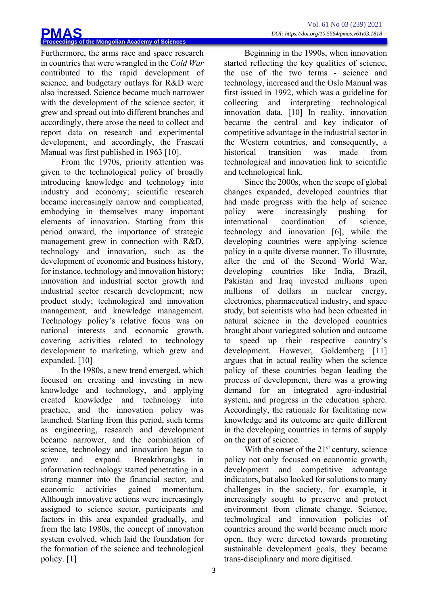Furthermore, the arms race and space research in countries that were wrangled in the *Cold War* contributed to the rapid development of science, and budgetary outlays for R&D were also increased. Science became much narrower with the development of the science sector, it grew and spread out into different branches and accordingly, there arose the need to collect and report data on research and experimental development, and accordingly, the Frascati Manual was first published in 1963 [10].

From the 1970s, priority attention was given to the technological policy of broadly introducing knowledge and technology into industry and economy; scientific research became increasingly narrow and complicated, embodying in themselves many important elements of innovation. Starting from this period onward, the importance of strategic management grew in connection with R&D, technology and innovation, such as the development of economic and business history, for instance, technology and innovation history; innovation and industrial sector growth and industrial sector research development; new product study; technological and innovation management; and knowledge management. Technology policy's relative focus was on national interests and economic growth, covering activities related to technology development to marketing, which grew and expanded. [10]

In the 1980s, a new trend emerged, which focused on creating and investing in new knowledge and technology, and applying created knowledge and technology into practice, and the innovation policy was launched. Starting from this period, such terms as engineering, research and development became narrower, and the combination of science, technology and innovation began to grow and expand. Breakthroughs in information technology started penetrating in a strong manner into the financial sector, and economic activities gained momentum. Although innovative actions were increasingly assigned to science sector, participants and factors in this area expanded gradually, and from the late 1980s, the concept of innovation system evolved, which laid the foundation for the formation of the science and technological policy. [1]

Beginning in the 1990s, when innovation started reflecting the key qualities of science, the use of the two terms - science and technology, increased and the Oslo Manual was first issued in 1992, which was a guideline for collecting and interpreting technological innovation data. [10] In reality, innovation became the central and key indicator of competitive advantage in the industrial sector in the Western countries, and consequently, a historical transition was made from technological and innovation link to scientific and technological link.

Since the 2000s, when the scope of global changes expanded, developed countries that had made progress with the help of science policy were increasingly pushing for international coordination of science, technology and innovation [6], while the developing countries were applying science policy in a quite diverse manner. To illustrate, after the end of the Second World War, developing countries like India, Brazil, Pakistan and Iraq invested millions upon millions of dollars in nuclear energy, electronics, pharmaceutical industry, and space study, but scientists who had been educated in natural science in the developed countries brought about variegated solution and outcome to speed up their respective country's development. However, Goldemberg [11] argues that in actual reality when the science policy of these countries began leading the process of development, there was a growing demand for an integrated agro-industrial system, and progress in the education sphere. Accordingly, the rationale for facilitating new knowledge and its outcome are quite different in the developing countries in terms of supply on the part of science.

With the onset of the  $21<sup>st</sup>$  century, science policy not only focused on economic growth, development and competitive advantage indicators, but also looked for solutions to many challenges in the society, for example, it increasingly sought to preserve and protect environment from climate change. Science, technological and innovation policies of countries around the world became much more open, they were directed towards promoting sustainable development goals, they became trans-disciplinary and more digitised.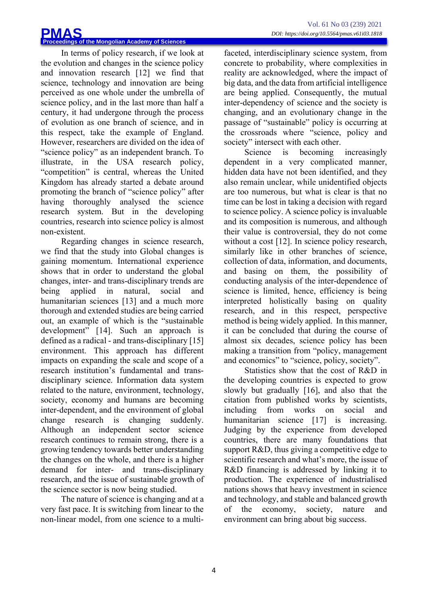In terms of policy research, if we look at the evolution and changes in the science policy and innovation research [12] we find that science, technology and innovation are being perceived as one whole under the umbrella of science policy, and in the last more than half a century, it had undergone through the process of evolution as one branch of science, and in this respect, take the example of England. However, researchers are divided on the idea of "science policy" as an independent branch. To illustrate, in the USA research policy, "competition" is central, whereas the United Kingdom has already started a debate around promoting the branch of "science policy" after having thoroughly analysed the science research system. But in the developing countries, research into science policy is almost non-existent.

Regarding changes in science research, we find that the study into Global changes is gaining momentum. International experience shows that in order to understand the global changes, inter- and trans-disciplinary trends are being applied in natural, social and humanitarian sciences [13] and a much more thorough and extended studies are being carried out, an example of which is the "sustainable development" [14]. Such an approach is defined as a radical - and trans-disciplinary [15] environment. This approach has different impacts on expanding the scale and scope of a research institution's fundamental and transdisciplinary science. Information data system related to the nature, environment, technology, society, economy and humans are becoming inter-dependent, and the environment of global change research is changing suddenly. Although an independent sector science research continues to remain strong, there is a growing tendency towards better understanding the changes on the whole, and there is a higher demand for inter- and trans-disciplinary research, and the issue of sustainable growth of the science sector is now being studied.

The nature of science is changing and at a very fast pace. It is switching from linear to the non-linear model, from one science to a multifaceted, interdisciplinary science system, from concrete to probability, where complexities in reality are acknowledged, where the impact of big data, and the data from artificial intelligence are being applied. Consequently, the mutual inter-dependency of science and the society is changing, and an evolutionary change in the passage of "sustainable" policy is occurring at the crossroads where "science, policy and society" intersect with each other.

Science is becoming increasingly dependent in a very complicated manner, hidden data have not been identified, and they also remain unclear, while unidentified objects are too numerous, but what is clear is that no time can be lost in taking a decision with regard to science policy. A science policy is invaluable and its composition is numerous, and although their value is controversial, they do not come without a cost [12]. In science policy research, similarly like in other branches of science, collection of data, information, and documents, and basing on them, the possibility of conducting analysis of the inter-dependence of science is limited, hence, efficiency is being interpreted holistically basing on quality research, and in this respect, perspective method is being widely applied. In this manner, it can be concluded that during the course of almost six decades, science policy has been making a transition from "policy, management and economics" to "science, policy, society".

Statistics show that the cost of R&D in the developing countries is expected to grow slowly but gradually [16], and also that the citation from published works by scientists, including from works on social and humanitarian science [17] is increasing. Judging by the experience from developed countries, there are many foundations that support R&D, thus giving a competitive edge to scientific research and what's more, the issue of R&D financing is addressed by linking it to production. The experience of industrialised nations shows that heavy investment in science and technology, and stable and balanced growth of the economy, society, nature and environment can bring about big success.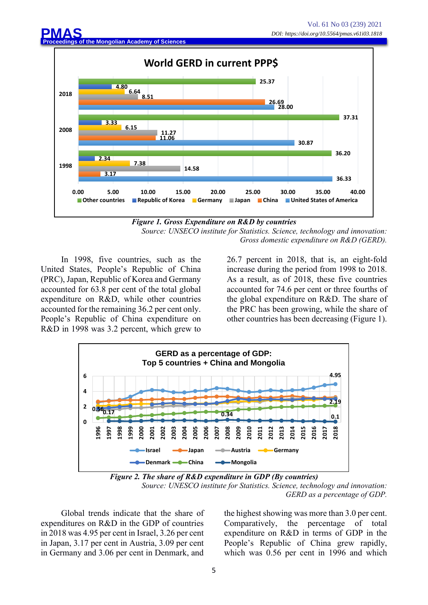

*Figure 1. Gross Expenditure on R&D by countries Source: UNSECO institute for Statistics. Science, technology and innovation: Gross domestic expenditure on R&D (GERD).*

In 1998, five countries, such as the United States, People's Republic of China (PRC), Japan, Republic of Korea and Germany accounted for 63.8 per cent of the total global expenditure on R&D, while other countries accounted for the remaining 36.2 per cent only. People's Republic of China expenditure on R&D in 1998 was 3.2 percent, which grew to 26.7 percent in 2018, that is, an eight-fold increase during the period from 1998 to 2018. As a result, as of 2018, these five countries accounted for 74.6 per cent or three fourths of the global expenditure on R&D. The share of the PRC has been growing, while the share of other countries has been decreasing (Figure 1).



*Figure 2. The share of R&D expenditure in GDP (By countries) Source: UNESCO institute for Statistics. Science, technology and innovation: GERD as a percentage of GDP.*

Global trends indicate that the share of expenditures on R&D in the GDP of countries in 2018 was 4.95 per cent in Israel, 3.26 per cent in Japan, 3.17 per cent in Austria, 3.09 per cent in Germany and 3.06 per cent in Denmark, and the highest showing was more than 3.0 per cent. Comparatively, the percentage of total expenditure on R&D in terms of GDP in the People's Republic of China grew rapidly, which was 0.56 per cent in 1996 and which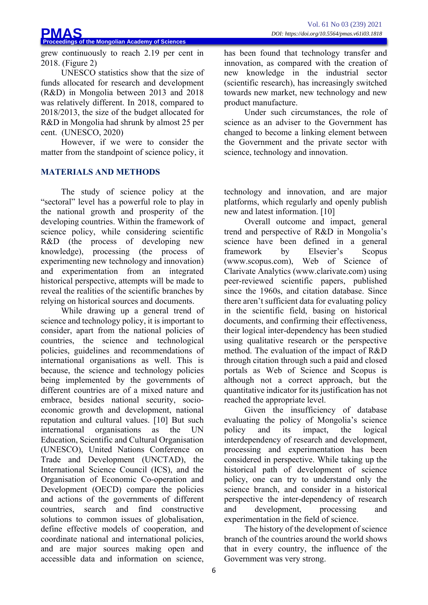grew continuously to reach 2.19 per cent in 2018. (Figure 2)

UNESCO statistics show that the size of funds allocated for research and development (R&D) in Mongolia between 2013 and 2018 was relatively different. In 2018, compared to 2018/2013, the size of the budget allocated for R&D in Mongolia had shrunk by almost 25 per cent. (UNESCO, 2020)

However, if we were to consider the matter from the standpoint of science policy, it

# **MATERIALS AND METHODS**

The study of science policy at the "sectoral" level has a powerful role to play in the national growth and prosperity of the developing countries. Within the framework of science policy, while considering scientific R&D (the process of developing new knowledge), processing (the process of experimenting new technology and innovation) and experimentation from an integrated historical perspective, attempts will be made to reveal the realities of the scientific branches by relying on historical sources and documents.

While drawing up a general trend of science and technology policy, it is important to consider, apart from the national policies of countries, the science and technological policies, guidelines and recommendations of international organisations as well. This is because, the science and technology policies being implemented by the governments of different countries are of a mixed nature and embrace, besides national security, socioeconomic growth and development, national reputation and cultural values. [10] But such international organisations as the UN Education, Scientific and Cultural Organisation (UNESCO), United Nations Conference on Trade and Development (UNCTAD), the International Science Council (ICS), and the Organisation of Economic Co-operation and Development (OECD) compare the policies and actions of the governments of different countries, search and find constructive solutions to common issues of globalisation, define effective models of cooperation, and coordinate national and international policies, and are major sources making open and accessible data and information on science

has been found that technology transfer and innovation, as compared with the creation of new knowledge in the industrial sector (scientific research), has increasingly switched towards new market, new technology and new product manufacture.

Under such circumstances, the role of science as an adviser to the Government has changed to become a linking element between the Government and the private sector with science, technology and innovation.

technology and innovation, and are major platforms, which regularly and openly publish new and latest information. [10]

Overall outcome and impact, general trend and perspective of R&D in Mongolia's science have been defined in a general framework by Elsevier's Scopus (www.scopus.com), Web of Science of Clarivate Analytics (www.clarivate.com) using peer-reviewed scientific papers, published since the 1960s, and citation database. Since there aren't sufficient data for evaluating policy in the scientific field, basing on historical documents, and confirming their effectiveness, their logical inter-dependency has been studied using qualitative research or the perspective method. The evaluation of the impact of R&D through citation through such a paid and closed portals as Web of Science and Scopus is although not a correct approach, but the quantitative indicator for its justification has not reached the appropriate level.

Given the insufficiency of database evaluating the policy of Mongolia's science policy and its impact, the logical interdependency of research and development, processing and experimentation has been considered in perspective. While taking up the historical path of development of science policy, one can try to understand only the science branch, and consider in a historical perspective the inter-dependency of research and development, processing and experimentation in the field of science.

The history of the development of science branch of the countries around the world shows that in every country, the influence of the Government was very strong.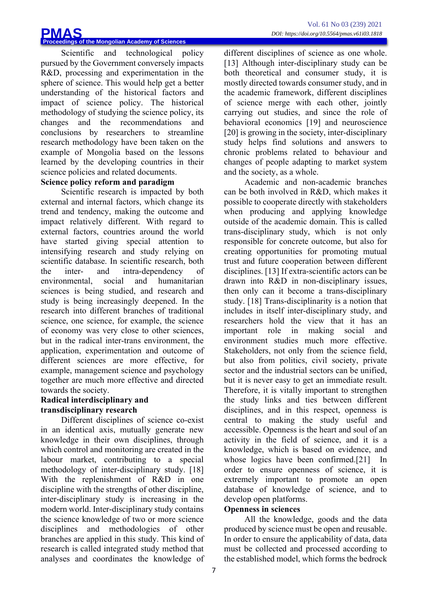Scientific and technological policy pursued by the Government conversely impacts R&D, processing and experimentation in the sphere of science. This would help get a better understanding of the historical factors and impact of science policy. The historical methodology of studying the science policy, its changes and the recommendations and conclusions by researchers to streamline research methodology have been taken on the example of Mongolia based on the lessons learned by the developing countries in their science policies and related documents.

## **Science policy reform and paradigm**

Scientific research is impacted by both external and internal factors, which change its trend and tendency, making the outcome and impact relatively different. With regard to external factors, countries around the world have started giving special attention to intensifying research and study relying on scientific database. In scientific research, both the inter- and intra-dependency of environmental, social and humanitarian sciences is being studied, and research and study is being increasingly deepened. In the research into different branches of traditional science, one science, for example, the science of economy was very close to other sciences, but in the radical inter-trans environment, the application, experimentation and outcome of different sciences are more effective, for example, management science and psychology together are much more effective and directed towards the society.

#### **Radical interdisciplinary and transdisciplinary research**

Different disciplines of science co-exist in an identical axis, mutually generate new knowledge in their own disciplines, through which control and monitoring are created in the labour market, contributing to a special methodology of inter-disciplinary study. [18] With the replenishment of R&D in one discipline with the strengths of other discipline, inter-disciplinary study is increasing in the modern world. Inter-disciplinary study contains the science knowledge of two or more science disciplines and methodologies of other branches are applied in this study. This kind of research is called integrated study method that analyses and coordinates the knowledge of different disciplines of science as one whole. [13] Although inter-disciplinary study can be both theoretical and consumer study, it is mostly directed towards consumer study, and in the academic framework, different disciplines of science merge with each other, jointly carrying out studies, and since the role of behavioral economics [19] and neuroscience [20] is growing in the society, inter-disciplinary study helps find solutions and answers to chronic problems related to behaviour and changes of people adapting to market system and the society, as a whole.

Academic and non-academic branches can be both involved in R&D, which makes it possible to cooperate directly with stakeholders when producing and applying knowledge outside of the academic domain. This is called trans-disciplinary study, which is not only responsible for concrete outcome, but also for creating opportunities for promoting mutual trust and future cooperation between different disciplines. [13] If extra-scientific actors can be drawn into R&D in non-disciplinary issues, then only can it become a trans-disciplinary study. [18] Trans-disciplinarity is a notion that includes in itself inter-disciplinary study, and researchers hold the view that it has an important role in making social and environment studies much more effective. Stakeholders, not only from the science field, but also from politics, civil society, private sector and the industrial sectors can be unified, but it is never easy to get an immediate result. Therefore, it is vitally important to strengthen the study links and ties between different disciplines, and in this respect, openness is central to making the study useful and accessible. Openness is the heart and soul of an activity in the field of science, and it is a knowledge, which is based on evidence, and whose logics have been confirmed.<sup>[21]</sup> In order to ensure openness of science, it is extremely important to promote an open database of knowledge of science, and to develop open platforms.

## **Openness in sciences**

All the knowledge, goods and the data produced by science must be open and reusable. In order to ensure the applicability of data, data must be collected and processed according to the established model, which forms the bedrock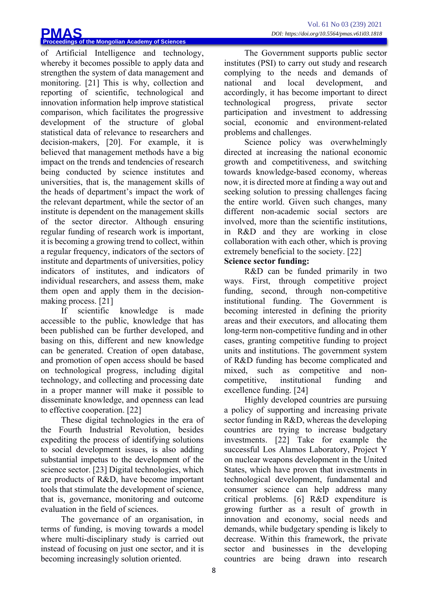of Artificial Intelligence and technology, whereby it becomes possible to apply data and strengthen the system of data management and monitoring. [21] This is why, collection and reporting of scientific, technological and innovation information help improve statistical comparison, which facilitates the progressive development of the structure of global statistical data of relevance to researchers and decision-makers, [20]. For example, it is believed that management methods have a big impact on the trends and tendencies of research being conducted by science institutes and universities, that is, the management skills of the heads of department's impact the work of the relevant department, while the sector of an institute is dependent on the management skills of the sector director. Although ensuring regular funding of research work is important, it is becoming a growing trend to collect, within a regular frequency, indicators of the sectors of institute and departments of universities, policy indicators of institutes, and indicators of individual researchers, and assess them, make them open and apply them in the decisionmaking process. [21]

If scientific knowledge is made accessible to the public, knowledge that has been published can be further developed, and basing on this, different and new knowledge can be generated. Creation of open database, and promotion of open access should be based on technological progress, including digital technology, and collecting and processing date in a proper manner will make it possible to disseminate knowledge, and openness can lead to effective cooperation. [22]

These digital technologies in the era of the Fourth Industrial Revolution, besides expediting the process of identifying solutions to social development issues, is also adding substantial impetus to the development of the science sector. [23] Digital technologies, which are products of R&D, have become important tools that stimulate the development of science, that is, governance, monitoring and outcome evaluation in the field of sciences.

The governance of an organisation, in terms of funding, is moving towards a model where multi-disciplinary study is carried out instead of focusing on just one sector, and it is becoming increasingly solution oriented.

The Government supports public sector institutes (PSI) to carry out study and research complying to the needs and demands of national and local development, and accordingly, it has become important to direct technological progress, private sector participation and investment to addressing social, economic and environment-related problems and challenges.

Science policy was overwhelmingly directed at increasing the national economic growth and competitiveness, and switching towards knowledge-based economy, whereas now, it is directed more at finding a way out and seeking solution to pressing challenges facing the entire world. Given such changes, many different non-academic social sectors are involved, more than the scientific institutions, in R&D and they are working in close collaboration with each other, which is proving extremely beneficial to the society. [22]

# **Science sector funding:**

R&D can be funded primarily in two ways. First, through competitive project funding, second, through non-competitive institutional funding. The Government is becoming interested in defining the priority areas and their executors, and allocating them long-term non-competitive funding and in other cases, granting competitive funding to project units and institutions. The government system of R&D funding has become complicated and mixed, such as competitive and noncompetitive, institutional funding and excellence funding. [24]

Highly developed countries are pursuing a policy of supporting and increasing private sector funding in R&D, whereas the developing countries are trying to increase budgetary investments. [22] Take for example the successful Los Alamos Laboratory, Project Y on nuclear weapons development in the United States, which have proven that investments in technological development, fundamental and consumer science can help address many critical problems. [6] R&D expenditure is growing further as a result of growth in innovation and economy, social needs and demands, while budgetary spending is likely to decrease. Within this framework, the private sector and businesses in the developing countries are being drawn into research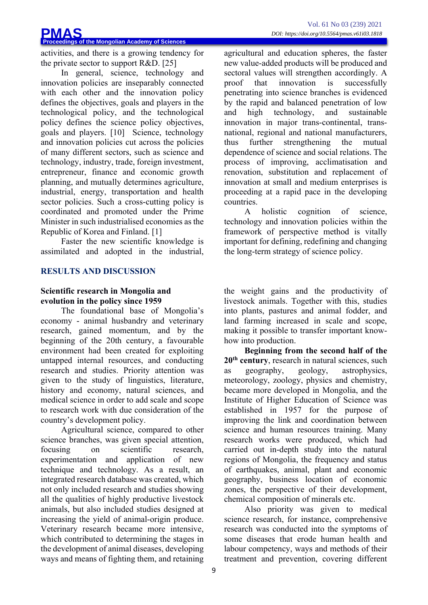activities, and there is a growing tendency for the private sector to support R&D. [25]

In general, science, technology and innovation policies are inseparably connected with each other and the innovation policy defines the objectives, goals and players in the technological policy, and the technological policy defines the science policy objectives, goals and players. [10] Science, technology and innovation policies cut across the policies of many different sectors, such as science and technology, industry, trade, foreign investment, entrepreneur, finance and economic growth planning, and mutually determines agriculture, industrial, energy, transportation and health sector policies. Such a cross-cutting policy is coordinated and promoted under the Prime Minister in such industrialised economies as the Republic of Korea and Finland. [1]

Faster the new scientific knowledge is assimilated and adopted in the industrial,

## **RESULTS AND DISCUSSION**

### **Scientific research in Mongolia and evolution in the policy since 1959**

The foundational base of Mongolia's economy - animal husbandry and veterinary research, gained momentum, and by the beginning of the 20th century, a favourable environment had been created for exploiting untapped internal resources, and conducting research and studies. Priority attention was given to the study of linguistics, literature, history and economy, natural sciences, and medical science in order to add scale and scope to research work with due consideration of the country's development policy.

Agricultural science, compared to other science branches, was given special attention, focusing on scientific research, experimentation and application of new technique and technology. As a result, an integrated research database was created, which not only included research and studies showing all the qualities of highly productive livestock animals, but also included studies designed at increasing the yield of animal-origin produce. Veterinary research became more intensive, which contributed to determining the stages in the development of animal diseases, developing ways and means of fighting them, and retaining agricultural and education spheres, the faster new value-added products will be produced and sectoral values will strengthen accordingly. A proof that innovation is successfully penetrating into science branches is evidenced by the rapid and balanced penetration of low and high technology, and sustainable innovation in major trans-continental, transnational, regional and national manufacturers, thus further strengthening the mutual dependence of science and social relations. The process of improving, acclimatisation and renovation, substitution and replacement of innovation at small and medium enterprises is proceeding at a rapid pace in the developing countries.

A holistic cognition of science, technology and innovation policies within the framework of perspective method is vitally important for defining, redefining and changing the long-term strategy of science policy.

the weight gains and the productivity of livestock animals. Together with this, studies into plants, pastures and animal fodder, and land farming increased in scale and scope, making it possible to transfer important knowhow into production.

**Beginning from the second half of the 20th century**, research in natural sciences, such as geography, geology, astrophysics, meteorology, zoology, physics and chemistry, became more developed in Mongolia, and the Institute of Higher Education of Science was established in 1957 for the purpose of improving the link and coordination between science and human resources training. Many research works were produced, which had carried out in-depth study into the natural regions of Mongolia, the frequency and status of earthquakes, animal, plant and economic geography, business location of economic zones, the perspective of their development, chemical composition of minerals etc.

Also priority was given to medical science research, for instance, comprehensive research was conducted into the symptoms of some diseases that erode human health and labour competency, ways and methods of their treatment and prevention, covering different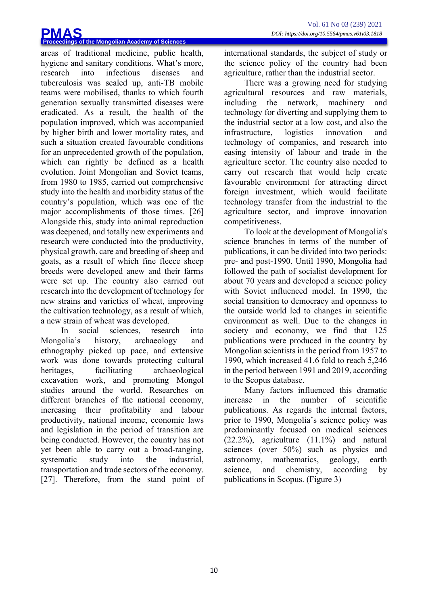areas of traditional medicine, public health, hygiene and sanitary conditions. What's more, research into infectious diseases and tuberculosis was scaled up, anti-TB mobile teams were mobilised, thanks to which fourth generation sexually transmitted diseases were eradicated. As a result, the health of the population improved, which was accompanied by higher birth and lower mortality rates, and such a situation created favourable conditions for an unprecedented growth of the population, which can rightly be defined as a health evolution. Joint Mongolian and Soviet teams, from 1980 to 1985, carried out comprehensive study into the health and morbidity status of the country's population, which was one of the major accomplishments of those times. [26] Alongside this, study into animal reproduction was deepened, and totally new experiments and research were conducted into the productivity, physical growth, care and breeding of sheep and goats, as a result of which fine fleece sheep breeds were developed anew and their farms were set up. The country also carried out research into the development of technology for new strains and varieties of wheat, improving the cultivation technology, as a result of which, a new strain of wheat was developed.

In social sciences, research into Mongolia's history, archaeology and ethnography picked up pace, and extensive work was done towards protecting cultural heritages, facilitating archaeological excavation work, and promoting Mongol studies around the world. Researches on different branches of the national economy, increasing their profitability and labour productivity, national income, economic laws and legislation in the period of transition are being conducted. However, the country has not yet been able to carry out a broad-ranging, systematic study into the industrial, transportation and trade sectors of the economy. [27]. Therefore, from the stand point of international standards, the subject of study or the science policy of the country had been agriculture, rather than the industrial sector.

There was a growing need for studying agricultural resources and raw materials, including the network, machinery and technology for diverting and supplying them to the industrial sector at a low cost, and also the infrastructure, logistics innovation and technology of companies, and research into easing intensity of labour and trade in the agriculture sector. The country also needed to carry out research that would help create favourable environment for attracting direct foreign investment, which would facilitate technology transfer from the industrial to the agriculture sector, and improve innovation competitiveness.

To look at the development of Mongolia's science branches in terms of the number of publications, it can be divided into two periods: pre- and post-1990. Until 1990, Mongolia had followed the path of socialist development for about 70 years and developed a science policy with Soviet influenced model. In 1990, the social transition to democracy and openness to the outside world led to changes in scientific environment as well. Due to the changes in society and economy, we find that 125 publications were produced in the country by Mongolian scientists in the period from 1957 to 1990, which increased 41.6 fold to reach 5,246 in the period between 1991 and 2019, according to the Scopus database.

Many factors influenced this dramatic increase in the number of scientific publications. As regards the internal factors, prior to 1990, Mongolia's science policy was predominantly focused on medical sciences  $(22.2\%)$ , agriculture  $(11.1\%)$  and natural sciences (over 50%) such as physics and astronomy, mathematics, geology, earth science, and chemistry, according by publications in Scopus. (Figure 3)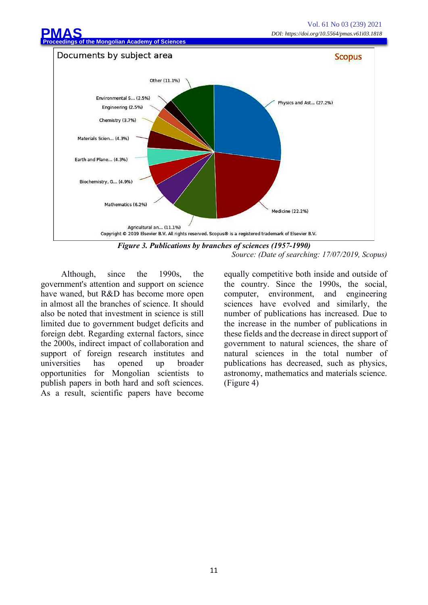

*Source: (Date of searching: 17/07/2019, Scopus)*

Although, since the 1990s, the government's attention and support on science have waned, but R&D has become more open in almost all the branches of science. It should also be noted that investment in science is still limited due to government budget deficits and foreign debt. Regarding external factors, since the 2000s, indirect impact of collaboration and support of foreign research institutes and universities has opened up broader opportunities for Mongolian scientists to publish papers in both hard and soft sciences. As a result, scientific papers have become equally competitive both inside and outside of the country. Since the 1990s, the social, computer, environment, and engineering sciences have evolved and similarly, the number of publications has increased. Due to the increase in the number of publications in these fields and the decrease in direct support of government to natural sciences, the share of natural sciences in the total number of publications has decreased, such as physics, astronomy, mathematics and materials science. (Figure 4)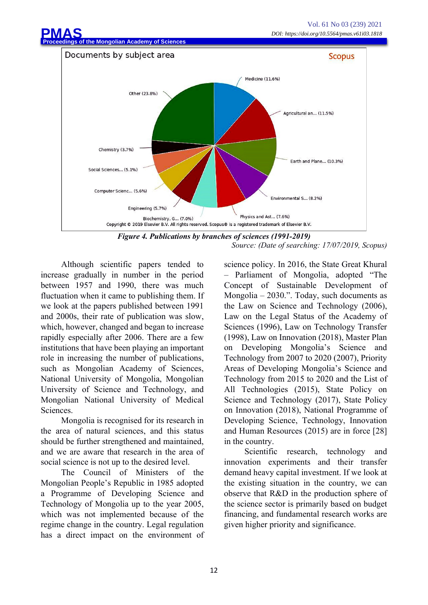

*Figure 4. Publications by branches of sciences (1991-2019) Source: (Date of searching: 17/07/2019, Scopus)*

Although scientific papers tended to increase gradually in number in the period between 1957 and 1990, there was much fluctuation when it came to publishing them. If we look at the papers published between 1991 and 2000s, their rate of publication was slow, which, however, changed and began to increase rapidly especially after 2006. There are a few institutions that have been playing an important role in increasing the number of publications, such as Mongolian Academy of Sciences, National University of Mongolia, Mongolian University of Science and Technology, and Mongolian National University of Medical Sciences.

Mongolia is recognised for its research in the area of natural sciences, and this status should be further strengthened and maintained, and we are aware that research in the area of social science is not up to the desired level.

The Council of Ministers of the Mongolian People's Republic in 1985 adopted a Programme of Developing Science and Technology of Mongolia up to the year 2005, which was not implemented because of the regime change in the country. Legal regulation has a direct impact on the environment of science policy. In 2016, the State Great Khural – Parliament of Mongolia, adopted "The Concept of Sustainable Development of Mongolia – 2030.". Today, such documents as the Law on Science and Technology (2006), Law on the Legal Status of the Academy of Sciences (1996), Law on Technology Transfer (1998), Law on Innovation (2018), Master Plan on Developing Mongolia's Science and Technology from 2007 to 2020 (2007), Priority Areas of Developing Mongolia's Science and Technology from 2015 to 2020 and the List of All Technologies (2015), State Policy on Science and Technology (2017), State Policy on Innovation (2018), National Programme of Developing Science, Technology, Innovation and Human Resources (2015) are in force [28] in the country.

Scientific research, technology and innovation experiments and their transfer demand heavy capital investment. If we look at the existing situation in the country, we can observe that R&D in the production sphere of the science sector is primarily based on budget financing, and fundamental research works are given higher priority and significance.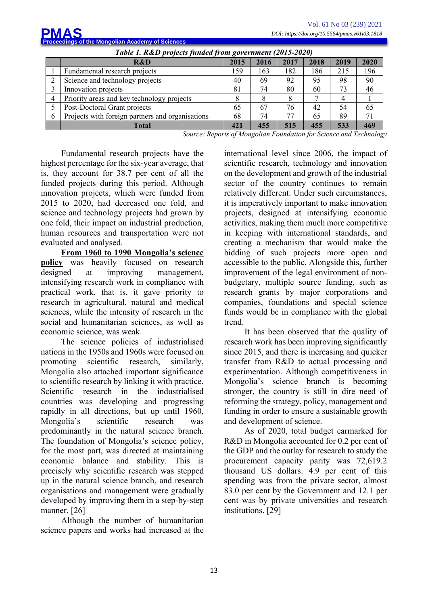|                                                          |   |                                                  | Vol. 61 No 03 (239) 2021<br>DOI: https://doi.org/10.5564/pmas.v61i03.1818 |      |      |      |      |      |
|----------------------------------------------------------|---|--------------------------------------------------|---------------------------------------------------------------------------|------|------|------|------|------|
|                                                          |   | <b>PMAS</b>                                      |                                                                           |      |      |      |      |      |
| <b>Proceedings of the Mongolian Academy of Sciences</b>  |   |                                                  |                                                                           |      |      |      |      |      |
| Table 1. R&D projects funded from government (2015-2020) |   |                                                  |                                                                           |      |      |      |      |      |
|                                                          |   | R&D                                              | 2015                                                                      | 2016 | 2017 | 2018 | 2019 | 2020 |
|                                                          |   | Fundamental research projects                    | 159                                                                       | 163  | 182  | 186  | 215  | 196  |
|                                                          |   | Science and technology projects                  | 40                                                                        | 69   | 92   | 95   | 98   | 90   |
|                                                          | 3 | Innovation projects                              | 81                                                                        | 74   | 80   | 60   | 73   | 46   |
|                                                          | 4 | Priority areas and key technology projects       | 8                                                                         | 8    | 8    |      | 4    |      |
|                                                          |   | Post-Doctoral Grant projects                     | 65                                                                        | 67   | 76   | 42   | 54   | 65   |
|                                                          | 6 | Projects with foreign partners and organisations | 68                                                                        | 74   | 77   | 65   | 89   | 71   |
|                                                          |   | <b>Total</b>                                     | 421                                                                       | 455  | 515  | 455  | 533  | 469  |

*Source: Reports of Mongolian Foundation for Science and Technology*

Fundamental research projects have the highest percentage for the six-year average, that is, they account for 38.7 per cent of all the funded projects during this period. Although innovation projects, which were funded from 2015 to 2020, had decreased one fold, and science and technology projects had grown by one fold, their impact on industrial production, human resources and transportation were not evaluated and analysed.

**From 1960 to 1990 Mongolia's science policy** was heavily focused on research designed at improving management, intensifying research work in compliance with practical work, that is, it gave priority to research in agricultural, natural and medical sciences, while the intensity of research in the social and humanitarian sciences, as well as economic science, was weak.

The science policies of industrialised nations in the 1950s and 1960s were focused on promoting scientific research, similarly, Mongolia also attached important significance to scientific research by linking it with practice. Scientific research in the industrialised countries was developing and progressing rapidly in all directions, but up until 1960, Mongolia's scientific research was predominantly in the natural science branch. The foundation of Mongolia's science policy, for the most part, was directed at maintaining economic balance and stability. This is precisely why scientific research was stepped up in the natural science branch, and research organisations and management were gradually developed by improving them in a step-by-step manner. [26]

Although the number of humanitarian science papers and works had increased at the international level since 2006, the impact of scientific research, technology and innovation on the development and growth of the industrial sector of the country continues to remain relatively different. Under such circumstances, it is imperatively important to make innovation projects, designed at intensifying economic activities, making them much more competitive in keeping with international standards, and creating a mechanism that would make the bidding of such projects more open and accessible to the public. Alongside this, further improvement of the legal environment of nonbudgetary, multiple source funding, such as research grants by major corporations and companies, foundations and special science funds would be in compliance with the global trend.

It has been observed that the quality of research work has been improving significantly since 2015, and there is increasing and quicker transfer from R&D to actual processing and experimentation. Although competitiveness in Mongolia's science branch is becoming stronger, the country is still in dire need of reforming the strategy, policy, management and funding in order to ensure a sustainable growth and development of science.

As of 2020, total budget earmarked for R&D in Mongolia accounted for 0.2 per cent of the GDP and the outlay for research to study the procurement capacity parity was 72,619.2 thousand US dollars. 4.9 per cent of this spending was from the private sector, almost 83.0 per cent by the Government and 12.1 per cent was by private universities and research institutions. [29]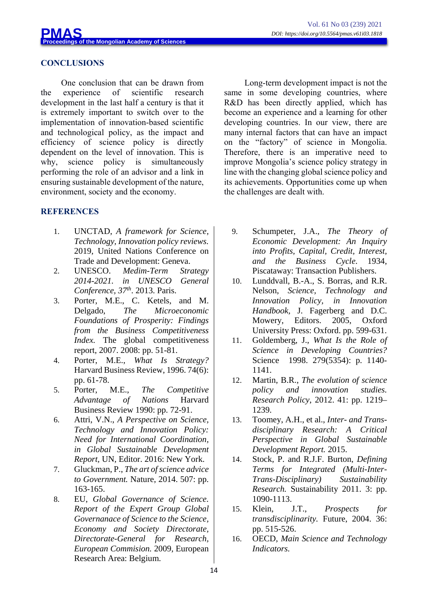

### **CONCLUSIONS**

One conclusion that can be drawn from the experience of scientific research development in the last half a century is that it is extremely important to switch over to the implementation of innovation-based scientific and technological policy, as the impact and efficiency of science policy is directly dependent on the level of innovation. This is why, science policy is simultaneously performing the role of an advisor and a link in ensuring sustainable development of the nature, environment, society and the economy.

#### **REFERENCES**

- 1. UNCTAD, *A framework for Science, Technology, Innovation policy reviews.*  2019, United Nations Conference on Trade and Development: Geneva.
- 2. UNESCO. *Medim-Term Strategy 2014-2021. in UNESCO General Conference, 37th*. 2013. Paris.
- 3. Porter, M.E., C. Ketels, and M. Delgado, *The Microeconomic Foundations of Prosperity: Findings from the Business Competitiveness Index.* The global competitiveness report, 2007. 2008: pp. 51-81.
- 4. Porter, M.E., *What Is Strategy?* Harvard Business Review, 1996. 74(6): pp. 61-78.
- 5. Porter, M.E., *The Competitive Advantage of Nations* Harvard Business Review 1990: pp. 72-91.
- 6. Attri, V.N., *A Perspective on Science, Technology and Innovation Policy: Need for International Coordination, in Global Sustainable Development Report,* UN, Editor. 2016: New York.
- 7. Gluckman, P., *The art of science advice to Government.* Nature, 2014. 507: pp. 163-165.
- 8. EU, *Global Governance of Science. Report of the Expert Group Global Governanace of Science to the Science, Economy and Society Directorate, Directorate-General for Research, European Commision.* 2009, European Research Area: Belgium.

Long-term development impact is not the same in some developing countries, where R&D has been directly applied, which has become an experience and a learning for other developing countries. In our view, there are many internal factors that can have an impact on the "factory" of science in Mongolia. Therefore, there is an imperative need to improve Mongolia's science policy strategy in line with the changing global science policy and its achievements. Opportunities come up when the challenges are dealt with.

- 9. Schumpeter, J.A., *The Theory of Economic Development: An Inquiry into Profits, Capital, Credit, Interest, and the Business Cycle*. 1934, Piscataway: Transaction Publishers.
- 10. Lunddvall, B.-A., S. Borras, and R.R. Nelson, *Science, Technology and Innovation Policy, in Innovation Handbook,* J. Fagerberg and D.C. Mowery, Editors. 2005, Oxford University Press: Oxford. pp. 599-631.
- 11. Goldemberg, J., *What Is the Role of Science in Developing Countries?* Science 1998. 279(5354): p. 1140-1141.
- 12. Martin, B.R., *The evolution of science policy and innovation studies. Research Policy*, 2012. 41: pp. 1219– 1239.
- 13. Toomey, A.H., et al., *Inter- and Transdisciplinary Research: A Critical Perspective in Global Sustainable Development Report.* 2015.
- 14. Stock, P. and R.J.F. Burton, *Defining Terms for Integrated (Multi-Inter-Trans-Disciplinary) Sustainability Research.* Sustainability 2011. 3: pp. 1090-1113.
- 15. Klein, J.T., *Prospects for transdisciplinarity.* Future, 2004. 36: pp. 515-526.
- 16. OECD, *Main Science and Technology Indicators.*